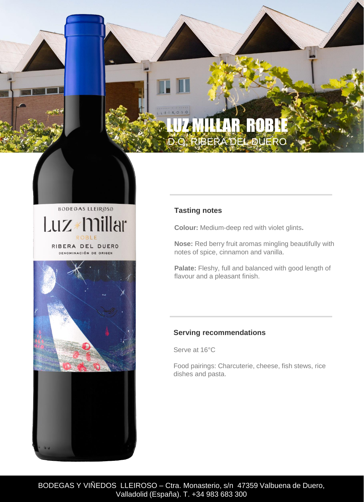# $R \cdot O \cdot S \cdot C$ LUZ MILLAR ROBLE D.O. RIBERA DEL DUERO

**BODEGAS LLEIROSO** Luz \* millar RIBERA DEL DUERO DENOMINACIÓN DE ORIGEN



## **Tasting notes**

**Colour:** Medium-deep red with violet glints**.** 

**Nose:** Red berry fruit aromas mingling beautifully with notes of spice, cinnamon and vanilla.

**Palate:** Fleshy, full and balanced with good length of flavour and a pleasant finish.

## **Serving recommendations**

Serve at 16°C

Food pairings: Charcuterie, cheese, fish stews, rice dishes and pasta.